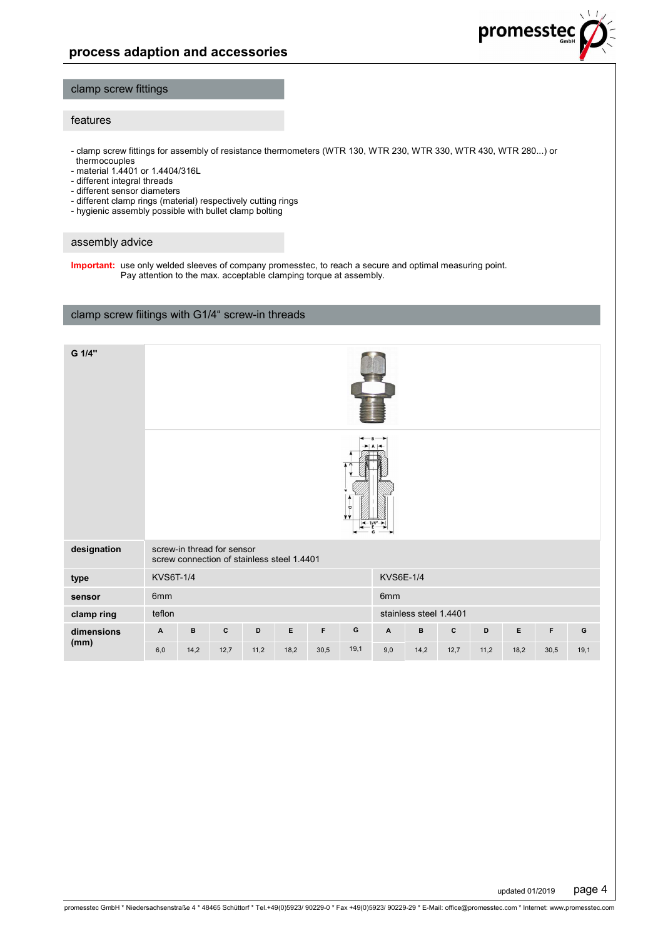

### clamp screw fittings

### features

- clamp screw fittings for assembly of resistance thermometers (WTR 130, WTR 230, WTR 330, WTR 430, WTR 280...) or thermocouples

- material 1.4401 or 1.4404/316L
- different integral threads
- different sensor diameters
- different clamp rings (material) respectively cutting rings
- hygienic assembly possible with bullet clamp bolting

#### assembly advice

**Important:** use only welded sleeves of company promesstec, to reach a secure and optimal measuring point. Pay attention to the max. acceptable clamping torque at assembly.

### clamp screw fiitings with G1/4" screw-in threads

| G 1/4"             |                                      |                                                                          |              |      |      |      |      |                           |              |              |      |      |      |      |
|--------------------|--------------------------------------|--------------------------------------------------------------------------|--------------|------|------|------|------|---------------------------|--------------|--------------|------|------|------|------|
|                    |                                      |                                                                          |              |      |      |      | ۷V   | G                         |              |              |      |      |      |      |
| designation        |                                      | screw-in thread for sensor<br>screw connection of stainless steel 1.4401 |              |      |      |      |      |                           |              |              |      |      |      |      |
| type               | <b>KVS6E-1/4</b><br><b>KVS6T-1/4</b> |                                                                          |              |      |      |      |      |                           |              |              |      |      |      |      |
| sensor             | 6mm<br>6mm                           |                                                                          |              |      |      |      |      |                           |              |              |      |      |      |      |
| clamp ring         | stainless steel 1.4401<br>teflon     |                                                                          |              |      |      |      |      |                           |              |              |      |      |      |      |
| dimensions<br>(mm) | $\boldsymbol{\mathsf{A}}$            | $\, {\bf B}$                                                             | $\mathbf{C}$ | D    | E    | F    | G    | $\boldsymbol{\mathsf{A}}$ | $\, {\bf B}$ | $\mathbf{c}$ | D    | E    | F    | G    |
|                    | 6,0                                  | 14,2                                                                     | 12,7         | 11,2 | 18,2 | 30,5 | 19,1 | 9,0                       | 14,2         | 12,7         | 11,2 | 18,2 | 30,5 | 19,1 |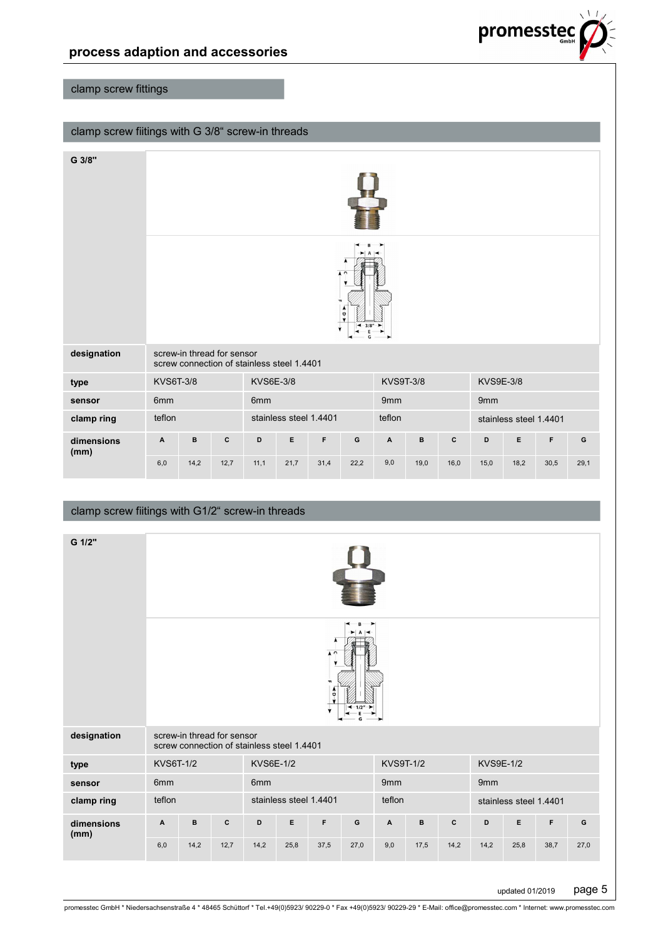

# clamp screw fittings

## clamp screw fiitings with G 3/8" screw-in threads

| G 3/8"             |                                                                          |      |             |                  |                        |      |                                                                                     |                  |             |              |                        |      |      |      |
|--------------------|--------------------------------------------------------------------------|------|-------------|------------------|------------------------|------|-------------------------------------------------------------------------------------|------------------|-------------|--------------|------------------------|------|------|------|
|                    |                                                                          |      |             |                  |                        | 'n   | $\sqrt{2}$<br>$\frac{1}{9}$<br>$\blacktriangleleft$ 3/8" $\blacktriangleright$<br>G |                  |             |              |                        |      |      |      |
| designation        | screw-in thread for sensor<br>screw connection of stainless steel 1.4401 |      |             |                  |                        |      |                                                                                     |                  |             |              |                        |      |      |      |
| type               | <b>KVS6T-3/8</b>                                                         |      |             | <b>KVS6E-3/8</b> |                        |      |                                                                                     | <b>KVS9T-3/8</b> |             |              | <b>KVS9E-3/8</b>       |      |      |      |
| sensor             | 6mm                                                                      |      |             | 6mm              |                        |      |                                                                                     | 9mm              |             |              | 9mm                    |      |      |      |
| clamp ring         | teflon                                                                   |      |             |                  | stainless steel 1.4401 |      |                                                                                     | teflon           |             |              | stainless steel 1.4401 |      |      |      |
| dimensions<br>(mm) | A                                                                        | в    | $\mathbf c$ | D                | E                      | F    | $\mathbf G$                                                                         | A                | $\mathbf B$ | $\mathbf{C}$ | D                      | E    | F    | G    |
|                    | 6,0                                                                      | 14,2 | 12,7        | 11,1             | 21,7                   | 31,4 | 22,2                                                                                | 9,0              | 19,0        | 16,0         | 15,0                   | 18,2 | 30,5 | 29,1 |

### clamp screw fiitings with G1/2" screw-in threads

| $\mathbf{C}$<br>G<br>screw-in thread for sensor<br>designation<br>screw connection of stainless steel 1.4401<br><b>KVS6E-1/2</b><br><b>KVS9T-1/2</b><br><b>KVS9E-1/2</b><br>KVS6T-1/2<br>type<br>6mm<br>6mm<br>9mm<br>9mm<br>sensor<br>stainless steel 1.4401<br>teflon<br>teflon<br>clamp ring<br>stainless steel 1.4401<br>E<br>$\mathbf c$<br>D<br>F<br>$\mathbf G$<br>$\, {\bf B}$<br>E<br>F<br>A<br>в<br>c<br>D<br>A<br>G<br>dimensions<br>(mm) | G 1/2" |     |      |      |      |      |      |      |     |      |      |      |      |      |      |
|------------------------------------------------------------------------------------------------------------------------------------------------------------------------------------------------------------------------------------------------------------------------------------------------------------------------------------------------------------------------------------------------------------------------------------------------------|--------|-----|------|------|------|------|------|------|-----|------|------|------|------|------|------|
|                                                                                                                                                                                                                                                                                                                                                                                                                                                      |        |     |      |      |      |      |      |      |     |      |      |      |      |      |      |
|                                                                                                                                                                                                                                                                                                                                                                                                                                                      |        |     |      |      |      |      |      |      |     |      |      |      |      |      |      |
|                                                                                                                                                                                                                                                                                                                                                                                                                                                      |        |     |      |      |      |      |      |      |     |      |      |      |      |      |      |
|                                                                                                                                                                                                                                                                                                                                                                                                                                                      |        |     |      |      |      |      |      |      |     |      |      |      |      |      |      |
|                                                                                                                                                                                                                                                                                                                                                                                                                                                      |        |     |      |      |      |      |      |      |     |      |      |      |      |      |      |
|                                                                                                                                                                                                                                                                                                                                                                                                                                                      |        |     |      |      |      |      |      |      |     |      |      |      |      |      |      |
|                                                                                                                                                                                                                                                                                                                                                                                                                                                      |        | 6,0 | 14,2 | 12,7 | 14,2 | 25,8 | 37,5 | 27,0 | 9,0 | 17,5 | 14,2 | 14,2 | 25,8 | 38,7 | 27,0 |